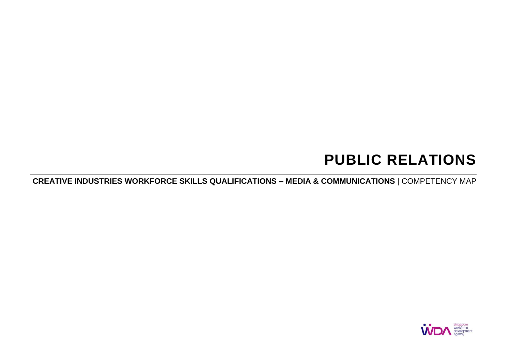# **PUBLIC RELATIONS**

**CREATIVE INDUSTRIES WORKFORCE SKILLS QUALIFICATIONS – MEDIA & COMMUNICATIONS** | COMPETENCY MAP

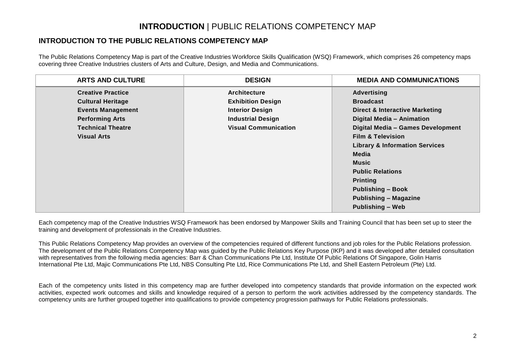### **INTRODUCTION** | PUBLIC RELATIONS COMPETENCY MAP

#### **INTRODUCTION TO THE PUBLIC RELATIONS COMPETENCY MAP**

The Public Relations Competency Map is part of the Creative Industries Workforce Skills Qualification (WSQ) Framework, which comprises 26 competency maps covering three Creative Industries clusters of Arts and Culture, Design, and Media and Communications.

| <b>ARTS AND CULTURE</b>  | <b>DESIGN</b>               | <b>MEDIA AND COMMUNICATIONS</b>           |
|--------------------------|-----------------------------|-------------------------------------------|
| <b>Creative Practice</b> | <b>Architecture</b>         | <b>Advertising</b>                        |
| <b>Cultural Heritage</b> | <b>Exhibition Design</b>    | <b>Broadcast</b>                          |
| <b>Events Management</b> | <b>Interior Design</b>      | <b>Direct &amp; Interactive Marketing</b> |
| <b>Performing Arts</b>   | <b>Industrial Design</b>    | Digital Media - Animation                 |
| <b>Technical Theatre</b> | <b>Visual Communication</b> | Digital Media - Games Development         |
| <b>Visual Arts</b>       |                             | <b>Film &amp; Television</b>              |
|                          |                             | <b>Library &amp; Information Services</b> |
|                          |                             | Media                                     |
|                          |                             | Music                                     |
|                          |                             | <b>Public Relations</b>                   |
|                          |                             | <b>Printing</b>                           |
|                          |                             | <b>Publishing - Book</b>                  |
|                          |                             | <b>Publishing - Magazine</b>              |
|                          |                             | <b>Publishing - Web</b>                   |

Each competency map of the Creative Industries WSQ Framework has been endorsed by Manpower Skills and Training Council that has been set up to steer the training and development of professionals in the Creative Industries.

This Public Relations Competency Map provides an overview of the competencies required of different functions and job roles for the Public Relations profession. The development of the Public Relations Competency Map was guided by the Public Relations Key Purpose (IKP) and it was developed after detailed consultation with representatives from the following media agencies: Barr & Chan Communications Pte Ltd, Institute Of Public Relations Of Singapore, Golin Harris International Pte Ltd, Majic Communications Pte Ltd, NBS Consulting Pte Ltd, Rice Communications Pte Ltd, and Shell Eastern Petroleum (Pte) Ltd.

Each of the competency units listed in this competency map are further developed into competency standards that provide information on the expected work activities, expected work outcomes and skills and knowledge required of a person to perform the work activities addressed by the competency standards. The competency units are further grouped together into qualifications to provide competency progression pathways for Public Relations professionals.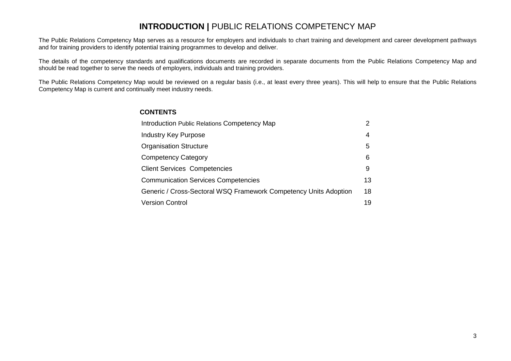#### **INTRODUCTION | PUBLIC RELATIONS COMPETENCY MAP**

The Public Relations Competency Map serves as a resource for employers and individuals to chart training and development and career development pathways and for training providers to identify potential training programmes to develop and deliver.

The details of the competency standards and qualifications documents are recorded in separate documents from the Public Relations Competency Map and should be read together to serve the needs of employers, individuals and training providers.

The Public Relations Competency Map would be reviewed on a regular basis (i.e., at least every three years). This will help to ensure that the Public Relations Competency Map is current and continually meet industry needs.

#### **CONTENTS**

| Introduction Public Relations Competency Map                     |    |  |  |
|------------------------------------------------------------------|----|--|--|
| Industry Key Purpose                                             | 4  |  |  |
| <b>Organisation Structure</b>                                    | 5  |  |  |
| <b>Competency Category</b>                                       | 6  |  |  |
| <b>Client Services Competencies</b>                              | 9  |  |  |
| <b>Communication Services Competencies</b>                       | 13 |  |  |
| Generic / Cross-Sectoral WSQ Framework Competency Units Adoption | 18 |  |  |
| <b>Version Control</b>                                           | 19 |  |  |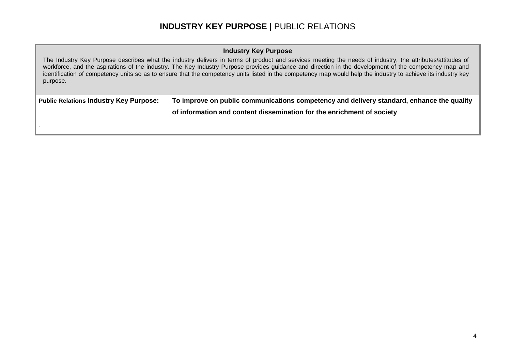#### **INDUSTRY KEY PURPOSE |** PUBLIC RELATIONS

#### **Industry Key Purpose**

The Industry Key Purpose describes what the industry delivers in terms of product and services meeting the needs of industry, the attributes/attitudes of workforce, and the aspirations of the industry. The Key Industry Purpose provides guidance and direction in the development of the competency map and identification of competency units so as to ensure that the competency units listed in the competency map would help the industry to achieve its industry key purpose.

**Public Relations Industry Key Purpose: To improve on public communications competency and delivery standard, enhance the quality** 

.

**of information and content dissemination for the enrichment of society**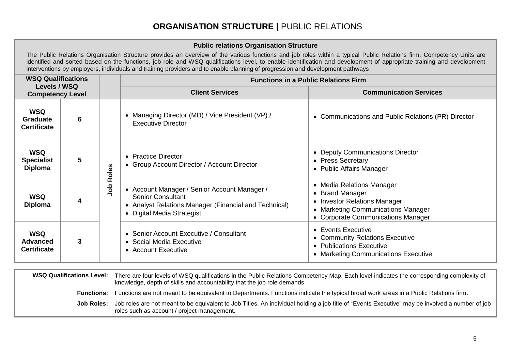## **ORGANISATION STRUCTURE |** PUBLIC RELATIONS

|                                                     |   |         | <b>Public relations Organisation Structure</b>                                                                                                                  |                                                                                                                                                                                                                                                                                                                                               |  |  |  |
|-----------------------------------------------------|---|---------|-----------------------------------------------------------------------------------------------------------------------------------------------------------------|-----------------------------------------------------------------------------------------------------------------------------------------------------------------------------------------------------------------------------------------------------------------------------------------------------------------------------------------------|--|--|--|
|                                                     |   |         | interventions by employers, individuals and training providers and to enable planning of progression and development pathways.                                  | The Public Relations Organisation Structure provides an overview of the various functions and job roles within a typical Public Relations firm. Competency Units are<br>identified and sorted based on the functions, job role and WSQ qualifications level, to enable identification and development of appropriate training and development |  |  |  |
| <b>WSQ Qualifications</b>                           |   |         | <b>Functions in a Public Relations Firm</b>                                                                                                                     |                                                                                                                                                                                                                                                                                                                                               |  |  |  |
| Levels / WSQ<br><b>Competency Level</b>             |   |         | <b>Client Services</b>                                                                                                                                          | <b>Communication Services</b>                                                                                                                                                                                                                                                                                                                 |  |  |  |
| <b>WSQ</b><br><b>Graduate</b><br><b>Certificate</b> | 6 |         | • Managing Director (MD) / Vice President (VP) /<br><b>Executive Director</b>                                                                                   | • Communications and Public Relations (PR) Director                                                                                                                                                                                                                                                                                           |  |  |  |
| <b>WSQ</b><br><b>Specialist</b><br><b>Diploma</b>   | 5 | Roles   | • Practice Director<br>• Group Account Director / Account Director                                                                                              | • Deputy Communications Director<br>• Press Secretary<br>• Public Affairs Manager                                                                                                                                                                                                                                                             |  |  |  |
| <b>WSQ</b><br><b>Diploma</b>                        | 4 | ap<br>S | • Account Manager / Senior Account Manager /<br><b>Senior Consultant</b><br>• Analyst Relations Manager (Financial and Technical)<br>• Digital Media Strategist | • Media Relations Manager<br>• Brand Manager<br>• Investor Relations Manager<br>• Marketing Communications Manager<br>• Corporate Communications Manager                                                                                                                                                                                      |  |  |  |
| <b>WSQ</b><br><b>Advanced</b><br><b>Certificate</b> | 3 |         | • Senior Account Executive / Consultant<br>• Social Media Executive<br>• Account Executive                                                                      | • Events Executive<br>• Community Relations Executive<br>• Publications Executive<br>• Marketing Communications Executive                                                                                                                                                                                                                     |  |  |  |

**WSQ Qualifications Level:** There are four levels of WSQ qualifications in the Public Relations Competency Map. Each level indicates the corresponding complexity of knowledge, depth of skills and accountability that the job role demands. **Functions:** Functions are not meant to be equivalent to Departments. Functions indicate the typical broad work areas in a Public Relations firm. Job Roles: Job roles are not meant to be equivalent to Job Titles. An individual holding a job title of "Events Executive" may be involved a number of job roles such as account / project management.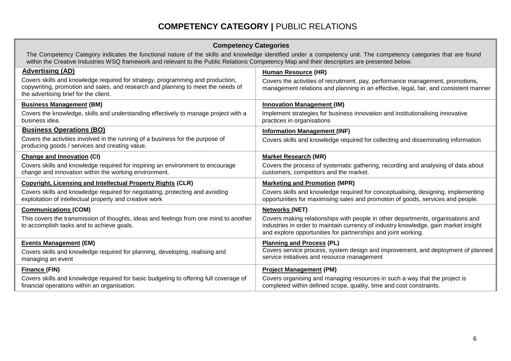## **COMPETENCY CATEGORY |** PUBLIC RELATIONS

| <b>Competency Categories</b> |  |
|------------------------------|--|
|------------------------------|--|

The Competency Category indicates the functional nature of the skills and knowledge identified under a competency unit. The competency categories that are found within the Creative Industries WSQ framework and relevant to the Public Relations Competency Map and their descriptors are presented below.

| <b>Advertising (AD)</b>                                                                                                                                                                                     |                                                                                                                                                                                                                                         |
|-------------------------------------------------------------------------------------------------------------------------------------------------------------------------------------------------------------|-----------------------------------------------------------------------------------------------------------------------------------------------------------------------------------------------------------------------------------------|
| Covers skills and knowledge required for strategy, programming and production,<br>copywriting, promotion and sales, and research and planning to meet the needs of<br>the advertising brief for the client. | <b>Human Resource (HR)</b><br>Covers the activities of recruitment, pay, performance management, promotions,<br>management relations and planning in an effective, legal, fair, and consistent manner                                   |
| <b>Business Management (BM)</b>                                                                                                                                                                             | <b>Innovation Management (IM)</b>                                                                                                                                                                                                       |
| Covers the knowledge, skills and understanding effectively to manage project with a<br>business idea.                                                                                                       | Implement strategies for business innovation and institutionalising innovative<br>practices in organisations                                                                                                                            |
| <b>Business Operations (BO)</b>                                                                                                                                                                             | <b>Information Management (INF)</b>                                                                                                                                                                                                     |
| Covers the activities involved in the running of a business for the purpose of<br>producing goods / services and creating value.                                                                            | Covers skills and knowledge required for collecting and disseminating information                                                                                                                                                       |
| <b>Change and Innovation (CI)</b>                                                                                                                                                                           | <b>Market Research (MR)</b>                                                                                                                                                                                                             |
| Covers skills and knowledge required for inspiring an environment to encourage<br>change and innovation within the working environment.                                                                     | Covers the process of systematic gathering, recording and analysing of data about<br>customers, competitors and the market.                                                                                                             |
| <b>Copyright, Licensing and Intellectual Property Rights (CLR)</b>                                                                                                                                          | <b>Marketing and Promotion (MPR)</b>                                                                                                                                                                                                    |
| Covers skills and knowledge required for negotiating, protecting and avoiding<br>exploitation of intellectual property and creative work                                                                    | Covers skills and knowledge required for conceptualising, designing, implementing<br>opportunities for maximising sales and promotion of goods, services and people.                                                                    |
| <b>Communications (COM)</b>                                                                                                                                                                                 | <b>Networks (NET)</b>                                                                                                                                                                                                                   |
| This covers the transmission of thoughts, ideas and feelings from one mind to another<br>to accomplish tasks and to achieve goals.                                                                          | Covers making relationships with people in other departments, organisations and<br>industries in order to maintain currency of industry knowledge, gain market insight<br>and explore opportunities for partnerships and joint working. |
| <b>Events Management (EM)</b>                                                                                                                                                                               | <b>Planning and Process (PL)</b>                                                                                                                                                                                                        |
| Covers skills and knowledge required for planning, developing, realising and<br>managing an event                                                                                                           | Covers service process, system design and improvement, and deployment of planned<br>service initiatives and resource management                                                                                                         |
| Finance (FIN)                                                                                                                                                                                               | <b>Project Management (PM)</b>                                                                                                                                                                                                          |
| Covers skills and knowledge required for basic budgeting to offering full coverage of<br>financial operations within an organisation.                                                                       | Covers organising and managing resources in such a way that the project is<br>completed within defined scope, quality, time and cost constraints.                                                                                       |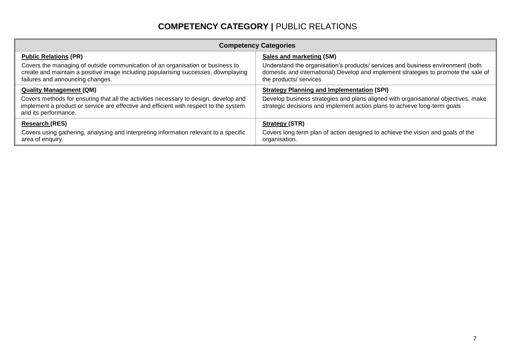## **COMPETENCY CATEGORY |** PUBLIC RELATIONS

| <b>Competency Categories</b>                                                                                                                                                                             |                                                                                                                                                                                                   |  |  |  |  |  |
|----------------------------------------------------------------------------------------------------------------------------------------------------------------------------------------------------------|---------------------------------------------------------------------------------------------------------------------------------------------------------------------------------------------------|--|--|--|--|--|
| <b>Public Relations (PR)</b>                                                                                                                                                                             | Sales and marketing (SM)                                                                                                                                                                          |  |  |  |  |  |
| Covers the managing of outside communication of an organisation or business to<br>create and maintain a positive image including popularising successes, downplaying<br>failures and announcing changes. | Understand the organisation's products/ services and business environment (both<br>domestic and international). Develop and implement strategies to promote the sale of<br>the products/ services |  |  |  |  |  |
| <b>Quality Management (QM)</b>                                                                                                                                                                           | <b>Strategy Planning and Implementation (SPI)</b>                                                                                                                                                 |  |  |  |  |  |
| Covers methods for ensuring that all the activities necessary to design, develop and<br>implement a product or service are effective and efficient with respect to the system<br>and its performance.    | Develop business strategies and plans aligned with organisational objectives, make<br>strategic decisions and implement action plans to achieve long-term goals                                   |  |  |  |  |  |
| <b>Research (RES)</b>                                                                                                                                                                                    | <b>Strategy (STR)</b>                                                                                                                                                                             |  |  |  |  |  |
| Covers using gathering, analysing and interpreting information relevant to a specific<br>area of enquiry.                                                                                                | Covers long term plan of action designed to achieve the vision and goals of the<br>organisation.                                                                                                  |  |  |  |  |  |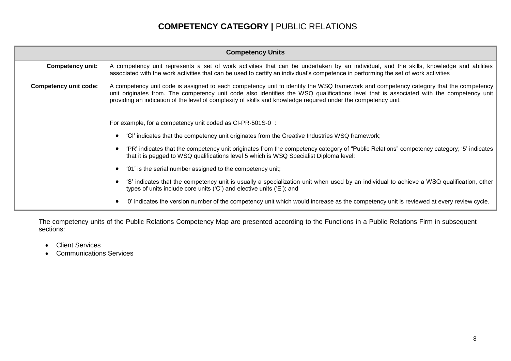## **COMPETENCY CATEGORY |** PUBLIC RELATIONS

| <b>Competency Units</b>                                                                                                                                                                                                            |                                                                                                                                                                                                                                                                                                                                                                                                   |  |  |  |  |
|------------------------------------------------------------------------------------------------------------------------------------------------------------------------------------------------------------------------------------|---------------------------------------------------------------------------------------------------------------------------------------------------------------------------------------------------------------------------------------------------------------------------------------------------------------------------------------------------------------------------------------------------|--|--|--|--|
| <b>Competency unit:</b>                                                                                                                                                                                                            | A competency unit represents a set of work activities that can be undertaken by an individual, and the skills, knowledge and abilities<br>associated with the work activities that can be used to certify an individual's competence in performing the set of work activities                                                                                                                     |  |  |  |  |
| <b>Competency unit code:</b>                                                                                                                                                                                                       | A competency unit code is assigned to each competency unit to identify the WSQ framework and competency category that the competency<br>unit originates from. The competency unit code also identifies the WSQ qualifications level that is associated with the competency unit<br>providing an indication of the level of complexity of skills and knowledge required under the competency unit. |  |  |  |  |
| For example, for a competency unit coded as CI-PR-501S-0 :                                                                                                                                                                         |                                                                                                                                                                                                                                                                                                                                                                                                   |  |  |  |  |
| 'CI' indicates that the competency unit originates from the Creative Industries WSQ framework;<br>$\bullet$                                                                                                                        |                                                                                                                                                                                                                                                                                                                                                                                                   |  |  |  |  |
| 'PR' indicates that the competency unit originates from the competency category of "Public Relations" competency category; '5' indicates<br>that it is pegged to WSQ qualifications level 5 which is WSQ Specialist Diploma level; |                                                                                                                                                                                                                                                                                                                                                                                                   |  |  |  |  |
|                                                                                                                                                                                                                                    | '01' is the serial number assigned to the competency unit;<br>$\bullet$                                                                                                                                                                                                                                                                                                                           |  |  |  |  |
|                                                                                                                                                                                                                                    | 'S' indicates that the competency unit is usually a specialization unit when used by an individual to achieve a WSQ qualification, other<br>types of units include core units ('C') and elective units ('E'); and                                                                                                                                                                                 |  |  |  |  |
|                                                                                                                                                                                                                                    | '0' indicates the version number of the competency unit which would increase as the competency unit is reviewed at every review cycle.<br>٠                                                                                                                                                                                                                                                       |  |  |  |  |

The competency units of the Public Relations Competency Map are presented according to the Functions in a Public Relations Firm in subsequent sections:

- Client Services
- Communications Services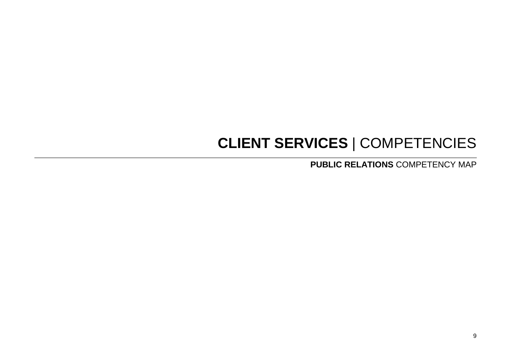# **CLIENT SERVICES** | COMPETENCIES

**PUBLIC RELATIONS** COMPETENCY MAP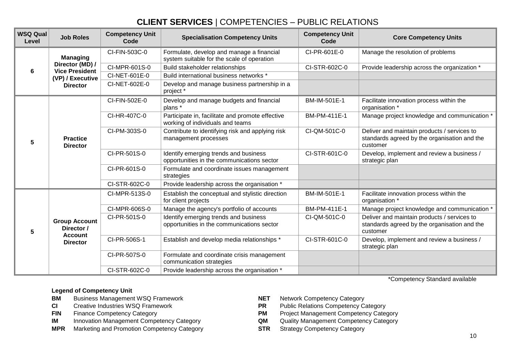## **CLIENT SERVICES** | COMPETENCIES – PUBLIC RELATIONS

| <b>WSQ Qual</b><br>Level | <b>Job Roles</b>                         | <b>Competency Unit</b><br>Code | <b>Specialisation Competency Units</b>                                                  | <b>Competency Unit</b><br>Code | <b>Core Competency Units</b>                                                                            |
|--------------------------|------------------------------------------|--------------------------------|-----------------------------------------------------------------------------------------|--------------------------------|---------------------------------------------------------------------------------------------------------|
|                          | <b>Managing</b>                          | CI-FIN-503C-0                  | Formulate, develop and manage a financial<br>system suitable for the scale of operation | CI-PR-601E-0                   | Manage the resolution of problems                                                                       |
| 6                        | Director (MD) /<br><b>Vice President</b> | CI-MPR-601S-0                  | Build stakeholder relationships                                                         | CI-STR-602C-0                  | Provide leadership across the organization *                                                            |
|                          | (VP) / Executive                         | CI-NET-601E-0                  | Build international business networks *                                                 |                                |                                                                                                         |
|                          | <b>Director</b>                          | CI-NET-602E-0                  | Develop and manage business partnership in a<br>project *                               |                                |                                                                                                         |
|                          |                                          | CI-FIN-502E-0                  | Develop and manage budgets and financial<br>plans *                                     | BM-IM-501E-1                   | Facilitate innovation process within the<br>organisation *                                              |
|                          | <b>Practice</b><br><b>Director</b>       | CI-HR-407C-0                   | Participate in, facilitate and promote effective<br>working of individuals and teams    | BM-PM-411E-1                   | Manage project knowledge and communication *                                                            |
| 5                        |                                          | CI-PM-303S-0                   | Contribute to identifying risk and applying risk<br>management processes                | CI-QM-501C-0                   | Deliver and maintain products / services to<br>standards agreed by the organisation and the<br>customer |
|                          |                                          | CI-PR-501S-0                   | Identify emerging trends and business<br>opportunities in the communications sector     | CI-STR-601C-0                  | Develop, implement and review a business /<br>strategic plan                                            |
|                          |                                          | CI-PR-601S-0                   | Formulate and coordinate issues management<br>strategies                                |                                |                                                                                                         |
|                          |                                          | CI-STR-602C-0                  | Provide leadership across the organisation *                                            |                                |                                                                                                         |
|                          | <b>Group Account</b><br>Director /       | CI-MPR-513S-0                  | Establish the conceptual and stylistic direction<br>for client projects                 | BM-IM-501E-1                   | Facilitate innovation process within the<br>organisation *                                              |
|                          |                                          | CI-MPR-606S-0                  | Manage the agency's portfolio of accounts                                               | BM-PM-411E-1                   | Manage project knowledge and communication *                                                            |
| 5                        |                                          | CI-PR-501S-0                   | Identify emerging trends and business<br>opportunities in the communications sector     | CI-QM-501C-0                   | Deliver and maintain products / services to<br>standards agreed by the organisation and the<br>customer |
|                          | <b>Account</b><br><b>Director</b>        | CI-PR-506S-1                   | Establish and develop media relationships *                                             | CI-STR-601C-0                  | Develop, implement and review a business /<br>strategic plan                                            |
|                          |                                          | CI-PR-507S-0                   | Formulate and coordinate crisis management<br>communication strategies                  |                                |                                                                                                         |
|                          |                                          | CI-STR-602C-0                  | Provide leadership across the organisation *                                            |                                |                                                                                                         |

\*Competency Standard available

- **BM** Business Management WSQ Framework **NET** Network Competency Category
- **CI** Creative Industries WSQ Framework **PR** Public Relations Competency Category
- 
- **IM** Innovation Management Competency Category **QM**
- **MPR** Marketing and Promotion Competency Category **STR** Strategy Competency Category
- 
- 
- **FIN** Finance Competency Category<br> **IM** Innovation Management Competency Category<br> **IM** Innovation Management Competency Category<br> **QM** Quality Management Competency Category
	-
	-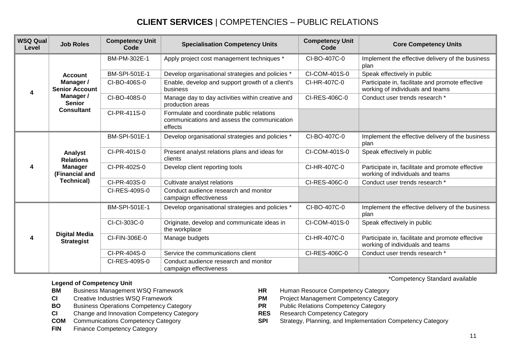## **CLIENT SERVICES** | COMPETENCIES – PUBLIC RELATIONS

| <b>WSQ Qual</b><br>Level | <b>Job Roles</b>                                                                     | <b>Competency Unit</b><br>Code | <b>Specialisation Competency Units</b>                                                              | <b>Competency Unit</b><br>Code | <b>Core Competency Units</b>                                                         |
|--------------------------|--------------------------------------------------------------------------------------|--------------------------------|-----------------------------------------------------------------------------------------------------|--------------------------------|--------------------------------------------------------------------------------------|
|                          |                                                                                      | BM-PM-302E-1                   | Apply project cost management techniques *                                                          | CI-BO-407C-0                   | Implement the effective delivery of the business<br>plan                             |
|                          | <b>Account</b>                                                                       | BM-SPI-501E-1                  | Develop organisational strategies and policies *                                                    | CI-COM-401S-0                  | Speak effectively in public                                                          |
| 4                        | Manager /<br><b>Senior Account</b>                                                   | CI-BO-406S-0                   | Enable, develop and support growth of a client's<br>business                                        | CI-HR-407C-0                   | Participate in, facilitate and promote effective<br>working of individuals and teams |
|                          | Manager /<br><b>Senior</b>                                                           | CI-BO-408S-0                   | Manage day to day activities within creative and<br>production areas                                | CI-RES-406C-0                  | Conduct user trends research *                                                       |
|                          | <b>Consultant</b>                                                                    | CI-PR-411S-0                   | Formulate and coordinate public relations<br>communications and assess the communication<br>effects |                                |                                                                                      |
| Δ                        |                                                                                      | <b>BM-SPI-501E-1</b>           | Develop organisational strategies and policies *                                                    | CI-BO-407C-0                   | Implement the effective delivery of the business<br>plan                             |
|                          | Analyst<br><b>Relations</b><br><b>Manager</b><br>(Financial and<br><b>Technical)</b> | CI-PR-401S-0                   | Present analyst relations plans and ideas for<br>clients                                            | CI-COM-401S-0                  | Speak effectively in public                                                          |
|                          |                                                                                      | CI-PR-402S-0                   | Develop client reporting tools                                                                      | CI-HR-407C-0                   | Participate in, facilitate and promote effective<br>working of individuals and teams |
|                          |                                                                                      | CI-PR-403S-0                   | Cultivate analyst relations                                                                         | CI-RES-406C-0                  | Conduct user trends research *                                                       |
|                          |                                                                                      | CI-RES-409S-0                  | Conduct audience research and monitor<br>campaign effectiveness                                     |                                |                                                                                      |
| 4                        |                                                                                      | <b>BM-SPI-501E-1</b>           | Develop organisational strategies and policies *                                                    | CI-BO-407C-0                   | Implement the effective delivery of the business<br>plan                             |
|                          |                                                                                      | CI-CI-303C-0                   | Originate, develop and communicate ideas in<br>the workplace                                        | CI-COM-401S-0                  | Speak effectively in public                                                          |
|                          | <b>Digital Media</b><br><b>Strategist</b>                                            | CI-FIN-306E-0                  | Manage budgets                                                                                      | CI-HR-407C-0                   | Participate in, facilitate and promote effective<br>working of individuals and teams |
|                          |                                                                                      | CI-PR-404S-0                   | Service the communications client                                                                   | CI-RES-406C-0                  | Conduct user trends research *                                                       |
|                          |                                                                                      | CI-RES-409S-0                  | Conduct audience research and monitor<br>campaign effectiveness                                     |                                |                                                                                      |

#### **Legend of Competency Unit**

- **BM** Business Management WSQ Framework **HR** Human Resource Competency Category<br> **CI** Creative Industries WSQ Framework **HR** Project Management Competency Category
- 
- 
- **CI** Change and Innovation Competency Category **RES** Research Competency Category<br> **COM** Communications Competency Category **RES** SPI Strategy, Planning, and Implemer
- 
- **FIN** Finance Competency Category
- 
- **CI** Creative Industries WSQ Framework **PM** Project Management Competency Category
- **BO** Business Operations Competency Category **PR** Public Relations Competency Category
	-
	- **SPI** Strategy, Planning, and Implementation Competency Category

\*Competency Standard available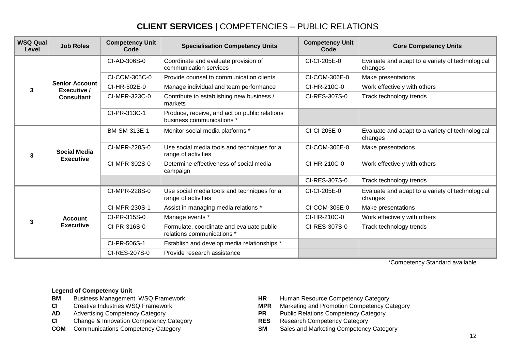## **CLIENT SERVICES** | COMPETENCIES – PUBLIC RELATIONS

| <b>WSQ Qual</b><br>Level | <b>Job Roles</b>                        | <b>Competency Unit</b><br>Code | <b>Specialisation Competency Units</b>                                     | <b>Competency Unit</b><br>Code | <b>Core Competency Units</b>                                |
|--------------------------|-----------------------------------------|--------------------------------|----------------------------------------------------------------------------|--------------------------------|-------------------------------------------------------------|
|                          |                                         | CI-AD-306S-0                   | Coordinate and evaluate provision of<br>communication services             | CI-CI-205E-0                   | Evaluate and adapt to a variety of technological<br>changes |
|                          |                                         | CI-COM-305C-0                  | Provide counsel to communication clients                                   | CI-COM-306E-0                  | Make presentations                                          |
| 3                        | <b>Senior Account</b><br>Executive /    | CI-HR-502E-0                   | Manage individual and team performance                                     | CI-HR-210C-0                   | Work effectively with others                                |
|                          | <b>Consultant</b>                       | CI-MPR-323C-0                  | Contribute to establishing new business /<br>markets                       | CI-RES-307S-0                  | Track technology trends                                     |
|                          |                                         | CI-PR-313C-1                   | Produce, receive, and act on public relations<br>business communications * |                                |                                                             |
| 3                        | <b>Social Media</b><br><b>Executive</b> | BM-SM-313E-1                   | Monitor social media platforms *                                           | CI-CI-205E-0                   | Evaluate and adapt to a variety of technological<br>changes |
|                          |                                         | CI-MPR-228S-0                  | Use social media tools and techniques for a<br>range of activities         | CI-COM-306E-0                  | Make presentations                                          |
|                          |                                         | CI-MPR-302S-0                  | Determine effectiveness of social media<br>campaign                        | CI-HR-210C-0                   | Work effectively with others                                |
|                          |                                         |                                |                                                                            | CI-RES-307S-0                  | Track technology trends                                     |
|                          |                                         | CI-MPR-228S-0                  | Use social media tools and techniques for a<br>range of activities         | CI-CI-205E-0                   | Evaluate and adapt to a variety of technological<br>changes |
|                          |                                         | CI-MPR-230S-1                  | Assist in managing media relations *                                       | CI-COM-306E-0                  | Make presentations                                          |
| 3                        | <b>Account</b>                          | CI-PR-315S-0                   | Manage events *                                                            | CI-HR-210C-0                   | Work effectively with others                                |
|                          | <b>Executive</b>                        | CI-PR-316S-0                   | Formulate, coordinate and evaluate public<br>relations communications *    | CI-RES-307S-0                  | Track technology trends                                     |
|                          |                                         | CI-PR-506S-1                   | Establish and develop media relationships *                                |                                |                                                             |
|                          |                                         | CI-RES-207S-0                  | Provide research assistance                                                |                                |                                                             |

\*Competency Standard available

- **BM** Business Management WSQ Framework **HR** Human Resource Competency Category
- 
- 
- **CI** Change & Innovation Competency Category **RES**
- 
- 
- **CI** Creative Industries WSQ Framework **MPR** Marketing and Promotion Competency Category
- **AD** Advertising Competency Category<br> **CI** Change & Innovation Competency Category<br> **PR** Public Relations Competency Category<br> **RES** Research Competency Category
	-
- **COM** Communications Competency Category **SM** Sales and Marketing Competency Category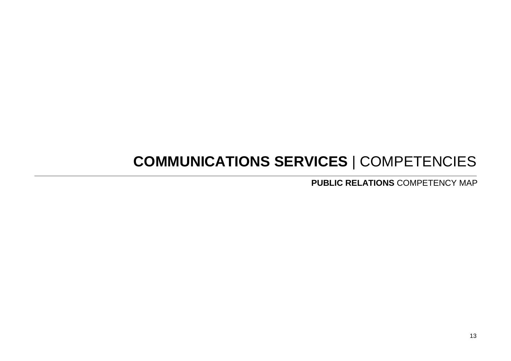# **COMMUNICATIONS SERVICES** | COMPETENCIES

**PUBLIC RELATIONS** COMPETENCY MAP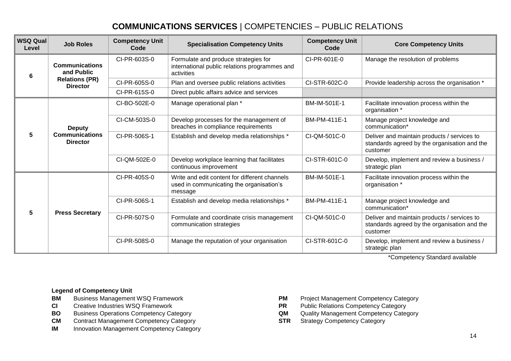| <b>WSQ Qual</b><br>Level | <b>Job Roles</b>                                          | <b>Competency Unit</b><br>Code | <b>Specialisation Competency Units</b>                                                               | <b>Competency Unit</b><br>Code | <b>Core Competency Units</b>                                                                            |
|--------------------------|-----------------------------------------------------------|--------------------------------|------------------------------------------------------------------------------------------------------|--------------------------------|---------------------------------------------------------------------------------------------------------|
| 6                        | <b>Communications</b><br>and Public                       | CI-PR-603S-0                   | Formulate and produce strategies for<br>international public relations programmes and<br>activities  | CI-PR-601E-0                   | Manage the resolution of problems                                                                       |
|                          | <b>Relations (PR)</b><br><b>Director</b>                  | CI-PR-605S-0                   | Plan and oversee public relations activities                                                         | CI-STR-602C-0                  | Provide leadership across the organisation *                                                            |
|                          |                                                           | CI-PR-615S-0                   | Direct public affairs advice and services                                                            |                                |                                                                                                         |
|                          |                                                           | CI-BO-502E-0                   | Manage operational plan *                                                                            | BM-IM-501E-1                   | Facilitate innovation process within the<br>organisation *                                              |
| 5                        | <b>Deputy</b><br><b>Communications</b><br><b>Director</b> | CI-CM-503S-0                   | Develop processes for the management of<br>breaches in compliance requirements                       | BM-PM-411E-1                   | Manage project knowledge and<br>communication*                                                          |
|                          |                                                           | CI-PR-506S-1                   | Establish and develop media relationships *                                                          | CI-QM-501C-0                   | Deliver and maintain products / services to<br>standards agreed by the organisation and the<br>customer |
|                          |                                                           | CI-QM-502E-0                   | Develop workplace learning that facilitates<br>continuous improvement                                | CI-STR-601C-0                  | Develop, implement and review a business /<br>strategic plan                                            |
|                          |                                                           | CI-PR-405S-0                   | Write and edit content for different channels<br>used in communicating the organisation's<br>message | BM-IM-501E-1                   | Facilitate innovation process within the<br>organisation *                                              |
|                          |                                                           | CI-PR-506S-1                   | Establish and develop media relationships *                                                          | BM-PM-411E-1                   | Manage project knowledge and<br>communication*                                                          |
| 5                        | <b>Press Secretary</b>                                    | CI-PR-507S-0                   | Formulate and coordinate crisis management<br>communication strategies                               | CI-QM-501C-0                   | Deliver and maintain products / services to<br>standards agreed by the organisation and the<br>customer |
|                          |                                                           | CI-PR-508S-0                   | Manage the reputation of your organisation                                                           | CI-STR-601C-0                  | Develop, implement and review a business /<br>strategic plan                                            |

\*Competency Standard available

- **BM** Business Management WSQ Framework **PM** Project Management Competency Category
- 
- **BO** Business Operations Competency Category **QM** Quality Management Competency Category **CM** Contract Management Competency Category **CM** Contract Management Competency Category
- **CM** Contract Management Competency Category **STR**
- **IM** Innovation Management Competency Category
- 
- **CI** Creative Industries WSQ Framework **PR** Public Relations Competency Category<br> **BO** Business Operations Competency Category **PR** Quality Management Competency Category
	-
	-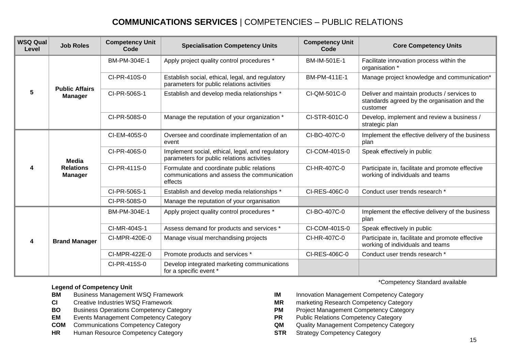| <b>WSQ Qual</b><br>Level | <b>Job Roles</b>                            | <b>Competency Unit</b><br>Code | <b>Specialisation Competency Units</b>                                                              | <b>Competency Unit</b><br>Code | <b>Core Competency Units</b>                                                                            |
|--------------------------|---------------------------------------------|--------------------------------|-----------------------------------------------------------------------------------------------------|--------------------------------|---------------------------------------------------------------------------------------------------------|
| 5                        |                                             | BM-PM-304E-1                   | Apply project quality control procedures *                                                          | BM-IM-501E-1                   | Facilitate innovation process within the<br>organisation *                                              |
|                          | <b>Public Affairs</b>                       | CI-PR-410S-0                   | Establish social, ethical, legal, and regulatory<br>parameters for public relations activities      | BM-PM-411E-1                   | Manage project knowledge and communication*                                                             |
|                          | <b>Manager</b>                              | CI-PR-506S-1                   | Establish and develop media relationships *                                                         | CI-QM-501C-0                   | Deliver and maintain products / services to<br>standards agreed by the organisation and the<br>customer |
|                          |                                             | CI-PR-508S-0                   | Manage the reputation of your organization *                                                        | CI-STR-601C-0                  | Develop, implement and review a business /<br>strategic plan                                            |
| 4                        | Media<br><b>Relations</b><br><b>Manager</b> | CI-EM-405S-0                   | Oversee and coordinate implementation of an<br>event                                                | CI-BO-407C-0                   | Implement the effective delivery of the business<br>plan                                                |
|                          |                                             | CI-PR-406S-0                   | Implement social, ethical, legal, and regulatory<br>parameters for public relations activities      | CI-COM-401S-0                  | Speak effectively in public                                                                             |
|                          |                                             | CI-PR-411S-0                   | Formulate and coordinate public relations<br>communications and assess the communication<br>effects | CI-HR-407C-0                   | Participate in, facilitate and promote effective<br>working of individuals and teams                    |
|                          |                                             | CI-PR-506S-1                   | Establish and develop media relationships *                                                         | CI-RES-406C-0                  | Conduct user trends research *                                                                          |
|                          |                                             | CI-PR-508S-0                   | Manage the reputation of your organisation                                                          |                                |                                                                                                         |
|                          |                                             | BM-PM-304E-1                   | Apply project quality control procedures *                                                          | CI-BO-407C-0                   | Implement the effective delivery of the business<br>plan                                                |
|                          |                                             | CI-MR-404S-1                   | Assess demand for products and services *                                                           | CI-COM-401S-0                  | Speak effectively in public                                                                             |
| 4                        | <b>Brand Manager</b>                        | CI-MPR-420E-0                  | Manage visual merchandising projects                                                                | CI-HR-407C-0                   | Participate in, facilitate and promote effective<br>working of individuals and teams                    |
|                          |                                             | CI-MPR-422E-0                  | Promote products and services *                                                                     | CI-RES-406C-0                  | Conduct user trends research *                                                                          |
|                          |                                             | CI-PR-415S-0                   | Develop integrated marketing communications<br>for a specific event *                               |                                |                                                                                                         |

#### **Legend of Competency Unit**

- 
- 
- **BO** Business Operations Competency Category **PM** Project Management Competency Category
- **EM** Events Management Competency Category **PR** Public Relations Competency Category
- 
- **HR** Human Resource Competency Category **STR** Strategy Competency Category

\*Competency Standard available

- **BM** Business Management WSQ Framework **IM** Innovation Management Competency Category
- **CI** Creative Industries WSQ Framework **MR** marketing Research Competency Category
	-
	-
- **COM** Communications Competency Category **COM** Quality Management Competency Category
	-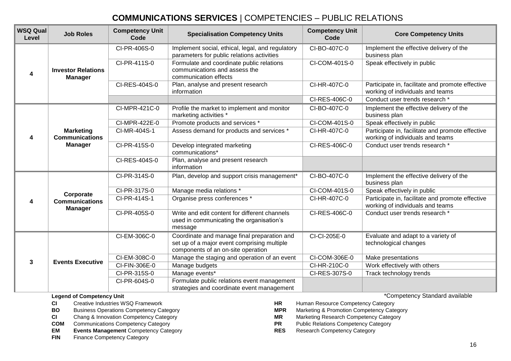| <b>WSQ Qual</b><br>Level | <b>Job Roles</b>                                            | <b>Competency Unit</b><br>Code | <b>Specialisation Competency Units</b>                                                                                           | <b>Competency Unit</b><br>Code | <b>Core Competency Units</b>                                                         |
|--------------------------|-------------------------------------------------------------|--------------------------------|----------------------------------------------------------------------------------------------------------------------------------|--------------------------------|--------------------------------------------------------------------------------------|
| 4                        | <b>Investor Relations</b><br><b>Manager</b>                 | CI-PR-406S-0                   | Implement social, ethical, legal, and regulatory<br>parameters for public relations activities                                   | CI-BO-407C-0                   | Implement the effective delivery of the<br>business plan                             |
|                          |                                                             | CI-PR-411S-0                   | Formulate and coordinate public relations<br>communications and assess the<br>communication effects                              | CI-COM-401S-0                  | Speak effectively in public                                                          |
|                          |                                                             | CI-RES-404S-0                  | Plan, analyse and present research<br>information                                                                                | CI-HR-407C-0                   | Participate in, facilitate and promote effective<br>working of individuals and teams |
|                          |                                                             |                                |                                                                                                                                  | CI-RES-406C-0                  | Conduct user trends research *                                                       |
| 4                        | <b>Marketing</b><br><b>Communications</b><br><b>Manager</b> | CI-MPR-421C-0                  | Profile the market to implement and monitor<br>marketing activities *                                                            | CI-BO-407C-0                   | Implement the effective delivery of the<br>business plan                             |
|                          |                                                             | CI-MPR-422E-0                  | Promote products and services *                                                                                                  | CI-COM-401S-0                  | Speak effectively in public                                                          |
|                          |                                                             | CI-MR-404S-1                   | Assess demand for products and services *                                                                                        | CI-HR-407C-0                   | Participate in, facilitate and promote effective<br>working of individuals and teams |
|                          |                                                             | CI-PR-415S-0                   | Develop integrated marketing<br>communications*                                                                                  | CI-RES-406C-0                  | Conduct user trends research *                                                       |
|                          |                                                             | CI-RES-404S-0                  | Plan, analyse and present research<br>information                                                                                |                                |                                                                                      |
|                          | Corporate<br><b>Communications</b><br><b>Manager</b>        | CI-PR-314S-0                   | Plan, develop and support crisis management*                                                                                     | CI-BO-407C-0                   | Implement the effective delivery of the<br>business plan                             |
|                          |                                                             | CI-PR-317S-0                   | Manage media relations *                                                                                                         | CI-COM-401S-0                  | Speak effectively in public                                                          |
| 4                        |                                                             | CI-PR-414S-1                   | Organise press conferences *                                                                                                     | CI-HR-407C-0                   | Participate in, facilitate and promote effective<br>working of individuals and teams |
|                          |                                                             | CI-PR-405S-0                   | Write and edit content for different channels<br>used in communicating the organisation's<br>message                             | CI-RES-406C-0                  | Conduct user trends research *                                                       |
| 3                        | <b>Events Executive</b>                                     | CI-EM-306C-0                   | Coordinate and manage final preparation and<br>set up of a major event comprising multiple<br>components of an on-site operation | CI-CI-205E-0                   | Evaluate and adapt to a variety of<br>technological changes                          |
|                          |                                                             | CI-EM-308C-0                   | Manage the staging and operation of an event                                                                                     | CI-COM-306E-0                  | Make presentations                                                                   |
|                          |                                                             | CI-FIN-306E-0                  | Manage budgets                                                                                                                   | CI-HR-210C-0                   | Work effectively with others                                                         |
|                          |                                                             | CI-PR-315S-0                   | Manage events*                                                                                                                   | CI-RES-307S-0                  | Track technology trends                                                              |
|                          |                                                             | CI-PR-604S-0                   | Formulate public relations event management<br>strategies and coordinate event management                                        |                                |                                                                                      |

**Legend of Competency Unit**

- 
- 
- 
- 
- **COM** Communications Competency Category **PR** Public Relations Competency Category **PR** Public Relations Competency Category **PR** Public Relations Competency Category **EM Events Management** Competency Category **RES**
- **FIN** Finance Competency Category

\*Competency Standard available

- **CI** Creative Industries WSQ Framework **HR** Human Resource Competency Category
- **BO** Business Operations Competency Category **MPR** Marketing & Promotion Competency Category
- **CI** Chang & Innovation Competency Category **MR** Marketing Research Competency Category<br> **COM** Communications Competency Category **COM** Communications Competency Category
	-
	-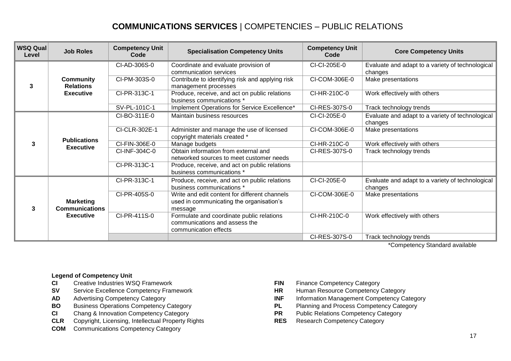| <b>WSQ Qual</b><br>Level | <b>Job Roles</b>                                              | <b>Competency Unit</b><br>Code | <b>Specialisation Competency Units</b>                                                               | <b>Competency Unit</b><br>Code | <b>Core Competency Units</b>                                |
|--------------------------|---------------------------------------------------------------|--------------------------------|------------------------------------------------------------------------------------------------------|--------------------------------|-------------------------------------------------------------|
| 3                        | <b>Community</b><br><b>Relations</b><br><b>Executive</b>      | CI-AD-306S-0                   | Coordinate and evaluate provision of<br>communication services                                       | CI-CI-205E-0                   | Evaluate and adapt to a variety of technological<br>changes |
|                          |                                                               | CI-PM-303S-0                   | Contribute to identifying risk and applying risk<br>management processes                             | CI-COM-306E-0                  | Make presentations                                          |
|                          |                                                               | CI-PR-313C-1                   | Produce, receive, and act on public relations<br>business communications *                           | CI-HR-210C-0                   | Work effectively with others                                |
|                          |                                                               | SV-PL-101C-1                   | Implement Operations for Service Excellence*                                                         | CI-RES-307S-0                  | Track technology trends                                     |
| 3                        | <b>Publications</b><br><b>Executive</b>                       | CI-BO-311E-0                   | Maintain business resources                                                                          | CI-CI-205E-0                   | Evaluate and adapt to a variety of technological<br>changes |
|                          |                                                               | CI-CLR-302E-1                  | Administer and manage the use of licensed<br>copyright materials created *                           | CI-COM-306E-0                  | Make presentations                                          |
|                          |                                                               | CI-FIN-306E-0                  | Manage budgets                                                                                       | CI-HR-210C-0                   | Work effectively with others                                |
|                          |                                                               | CI-INF-304C-0                  | Obtain information from external and<br>networked sources to meet customer needs                     | CI-RES-307S-0                  | Track technology trends                                     |
|                          |                                                               | CI-PR-313C-1                   | Produce, receive, and act on public relations<br>business communications *                           |                                |                                                             |
| 3                        | <b>Marketing</b><br><b>Communications</b><br><b>Executive</b> | CI-PR-313C-1                   | Produce, receive, and act on public relations<br>business communications *                           | CI-CI-205E-0                   | Evaluate and adapt to a variety of technological<br>changes |
|                          |                                                               | CI-PR-405S-0                   | Write and edit content for different channels<br>used in communicating the organisation's<br>message | CI-COM-306E-0                  | Make presentations                                          |
|                          |                                                               | CI-PR-411S-0                   | Formulate and coordinate public relations<br>communications and assess the<br>communication effects  | CI-HR-210C-0                   | Work effectively with others                                |
|                          |                                                               |                                |                                                                                                      | CI-RES-307S-0                  | Track technology trends                                     |

\*Competency Standard available

- 
- **CI** Creative Industries WSQ Framework<br> **SICI** Creative Excellence Competency Framework **FIN FIN** Human Resource Competency Category **SV** Service Excellence Competency Framework **HR**
- 
- 
- **CI** Chang & Innovation Competency Category **PR**
- **CLR** Copyright, Licensing, Intellectual Property Rights **RES** Research Competency Category
- **COM** Communications Competency Category
- 
- 
- AD Advertising Competency Category **INF** Information Management Competency Category
- **BO** Business Operations Competency Category<br> **CI** Chang & Innovation Competency Category<br> **PR** Public Relations Competency Category<br> **PR** Public Relations Competency Category
	-
	-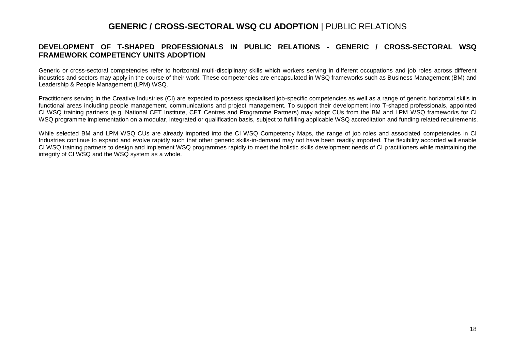#### **GENERIC / CROSS-SECTORAL WSQ CU ADOPTION** | PUBLIC RELATIONS

#### **DEVELOPMENT OF T-SHAPED PROFESSIONALS IN PUBLIC RELATIONS - GENERIC / CROSS-SECTORAL WSQ FRAMEWORK COMPETENCY UNITS ADOPTION**

Generic or cross-sectoral competencies refer to horizontal multi-disciplinary skills which workers serving in different occupations and job roles across different industries and sectors may apply in the course of their work. These competencies are encapsulated in WSQ frameworks such as Business Management (BM) and Leadership & People Management (LPM) WSQ.

Practitioners serving in the Creative Industries (CI) are expected to possess specialised job-specific competencies as well as a range of generic horizontal skills in functional areas including people management, communications and project management. To support their development into T-shaped professionals, appointed CI WSQ training partners (e.g. National CET Institute, CET Centres and Programme Partners) may adopt CUs from the BM and LPM WSQ frameworks for CI WSQ programme implementation on a modular, integrated or qualification basis, subject to fulfilling applicable WSQ accreditation and funding related requirements.

While selected BM and LPM WSQ CUs are already imported into the CI WSQ Competency Maps, the range of job roles and associated competencies in CI Industries continue to expand and evolve rapidly such that other generic skills-in-demand may not have been readily imported. The flexibility accorded will enable CI WSQ training partners to design and implement WSQ programmes rapidly to meet the holistic skills development needs of CI practitioners while maintaining the integrity of CI WSQ and the WSQ system as a whole.